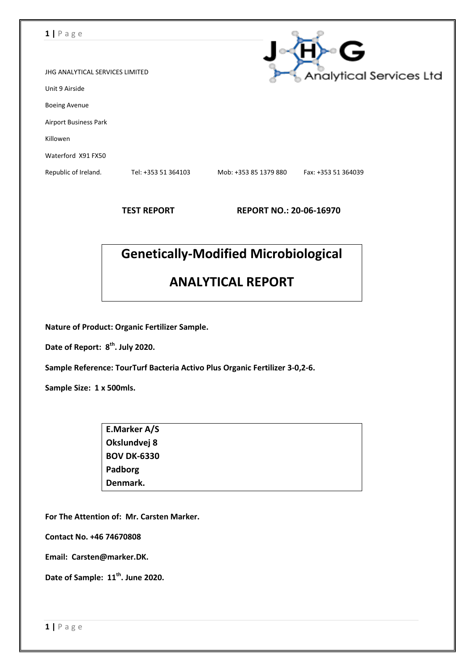| $1   P \text{age}$                     |                     |                                |                     |  |  |
|----------------------------------------|---------------------|--------------------------------|---------------------|--|--|
|                                        |                     |                                | G                   |  |  |
| <b>JHG ANALYTICAL SERVICES LIMITED</b> |                     | <b>Analytical Services Ltd</b> |                     |  |  |
| Unit 9 Airside                         |                     |                                |                     |  |  |
| <b>Boeing Avenue</b>                   |                     |                                |                     |  |  |
| <b>Airport Business Park</b>           |                     |                                |                     |  |  |
| Killowen                               |                     |                                |                     |  |  |
| Waterford X91 FX50                     |                     |                                |                     |  |  |
| Republic of Ireland.                   | Tel: +353 51 364103 | Mob: +353 85 1379 880          | Fax: +353 51 364039 |  |  |
|                                        |                     |                                |                     |  |  |

**TEST REPORT REPORT NO.: 20-06-16970**

# **Genetically-Modified Microbiological**

## **ANALYTICAL REPORT**

**Nature of Product: Organic Fertilizer Sample.**

**Date of Report: 8 th . July 2020.**

**Sample Reference: TourTurf Bacteria Activo Plus Organic Fertilizer 3-0,2-6.**

**Sample Size: 1 x 500mls.**

| E.Marker A/S       |  |
|--------------------|--|
| Okslundvej 8       |  |
| <b>BOV DK-6330</b> |  |
| Padborg            |  |
| Denmark.           |  |

**For The Attention of: Mr. Carsten Marker.**

**Contact No. +46 74670808**

**Email: Carsten@marker.DK.**

**Date of Sample: 11 th . June 2020.**